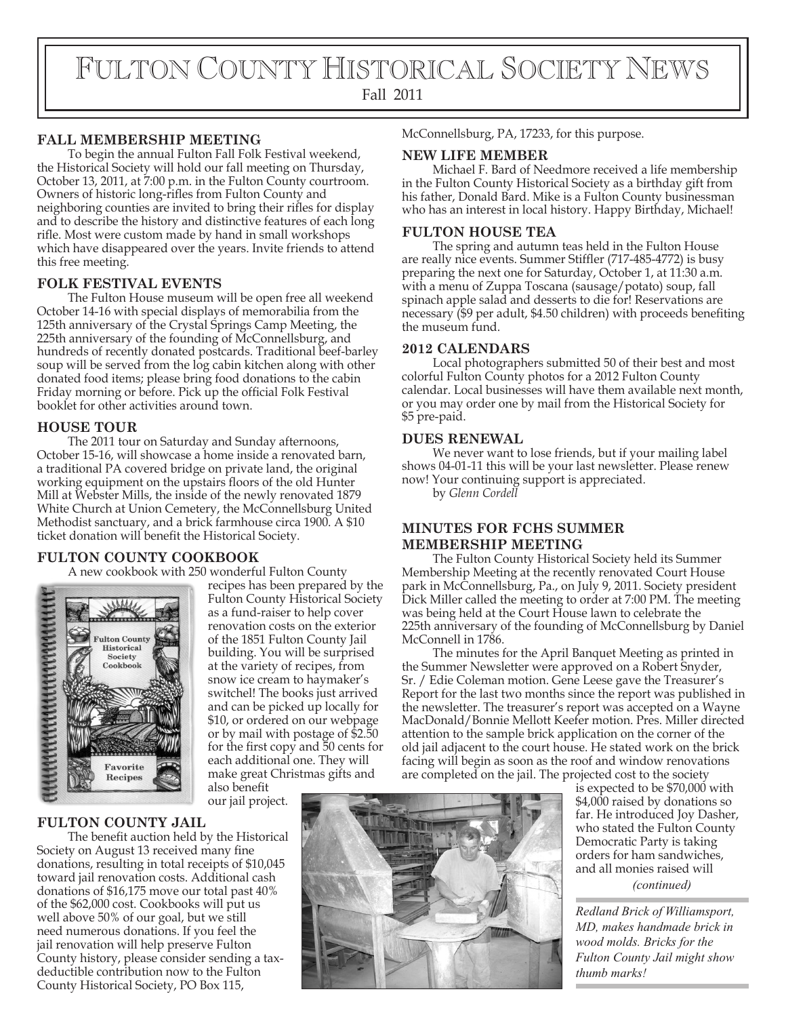# FULTON COUNTY HISTORICAL SOCIETY NEWS Fall 2011

#### **FALL MEMBERSHIP MEETING**

To begin the annual Fulton Fall Folk Festival weekend, the Historical Society will hold our fall meeting on Thursday, October 13, 2011, at 7:00 p.m. in the Fulton County courtroom. Owners of historic long-rifles from Fulton County and neighboring counties are invited to bring their rifles for display and to describe the history and distinctive features of each long rifle. Most were custom made by hand in small workshops which have disappeared over the years. Invite friends to attend this free meeting.

#### **FOLK FESTIVAL EVENTS**

The Fulton House museum will be open free all weekend October 14-16 with special displays of memorabilia from the 125th anniversary of the Crystal Springs Camp Meeting, the 225th anniversary of the founding of McConnellsburg, and hundreds of recently donated postcards. Traditional beef-barley soup will be served from the log cabin kitchen along with other donated food items; please bring food donations to the cabin Friday morning or before. Pick up the official Folk Festival booklet for other activities around town.

### **HOUSE TOUR**

The 2011 tour on Saturday and Sunday afternoons, October 15-16, will showcase a home inside a renovated barn, a traditional PA covered bridge on private land, the original working equipment on the upstairs floors of the old Hunter Mill at Webster Mills, the inside of the newly renovated 1879 White Church at Union Cemetery, the McConnellsburg United Methodist sanctuary, and a brick farmhouse circa 1900. A \$10 ticket donation will benefit the Historical Society.

#### **FULTON COUNTY COOKBOOK**

A new cookbook with 250 wonderful Fulton County



recipes has been prepared by the Fulton County Historical Society as a fund-raiser to help cover renovation costs on the exterior of the 1851 Fulton County Jail building. You will be surprised at the variety of recipes, from snow ice cream to haymaker's switchel! The books just arrived and can be picked up locally for \$10, or ordered on our webpage or by mail with postage of \$2.50 for the first copy and 50 cents for each additional one. They will

also benefit

#### **FULTON COUNTY JAIL**

The benefit auction held by the Historical Society on August 13 received many fine donations, resulting in total receipts of \$10,045 toward jail renovation costs. Additional cash donations of \$16,175 move our total past 40% of the \$62,000 cost. Cookbooks will put us well above 50% of our goal, but we still need numerous donations. If you feel the jail renovation will help preserve Fulton County history, please consider sending a taxdeductible contribution now to the Fulton County Historical Society, PO Box 115,

make great Christmas gifts and

our jail project.

McConnellsburg, PA, 17233, for this purpose.

#### **NEW LIFE MEMBER**

Michael F. Bard of Needmore received a life membership in the Fulton County Historical Society as a birthday gift from his father, Donald Bard. Mike is a Fulton County businessman who has an interest in local history. Happy Birthday, Michael!

#### **FULTON HOUSE TEA**

The spring and autumn teas held in the Fulton House are really nice events. Summer Stiffler (717-485-4772) is busy preparing the next one for Saturday, October 1, at 11:30 a.m. with a menu of Zuppa Toscana (sausage/potato) soup, fall spinach apple salad and desserts to die for! Reservations are necessary (\$9 per adult, \$4.50 children) with proceeds beneting the museum fund.

#### **2012 CALENDARS**

Local photographers submitted 50 of their best and most colorful Fulton County photos for a 2012 Fulton County calendar. Local businesses will have them available next month, or you may order one by mail from the Historical Society for \$5 pre-paid.

#### **DUES RENEWAL**

We never want to lose friends, but if your mailing label shows 04-01-11 this will be your last newsletter. Please renew now! Your continuing support is appreciated.

by *Glenn Cordell*

#### **MINUTES FOR FCHS SUMMER MEMBERSHIP MEETING**

The Fulton County Historical Society held its Summer Membership Meeting at the recently renovated Court House park in McConnellsburg, Pa., on July 9, 2011. Society president Dick Miller called the meeting to order at 7:00 PM. The meeting was being held at the Court House lawn to celebrate the 225th anniversary of the founding of McConnellsburg by Daniel McConnell in 1786.

The minutes for the April Banquet Meeting as printed in the Summer Newsletter were approved on a Robert Snyder, Sr. / Edie Coleman motion. Gene Leese gave the Treasurer's Report for the last two months since the report was published in the newsletter. The treasurer's report was accepted on a Wayne MacDonald/Bonnie Mellott Keefer motion. Pres. Miller directed attention to the sample brick application on the corner of the old jail adjacent to the court house. He stated work on the brick facing will begin as soon as the roof and window renovations are completed on the jail. The projected cost to the society

*(continued)* is expected to be \$70,000 with \$4,000 raised by donations so far. He introduced Joy Dasher, who stated the Fulton County Democratic Party is taking orders for ham sandwiches, and all monies raised will

*Redland Brick of Williamsport, MD, makes handmade brick in wood molds. Bricks for the Fulton County Jail might show thumb marks!*